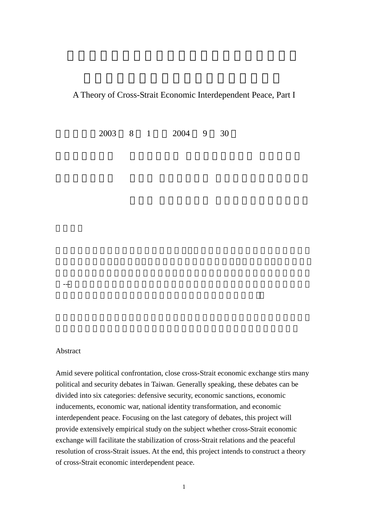A Theory of Cross-Strait Economic Interdependent Peace, Part I

執行期限:2003 8 1 日至 2004 9 30

Abstract

Amid severe political confrontation, close cross-Strait economic exchange stirs many political and security debates in Taiwan. Generally speaking, these debates can be divided into six categories: defensive security, economic sanctions, economic inducements, economic war, national identity transformation, and economic interdependent peace. Focusing on the last category of debates, this project will provide extensively empirical study on the subject whether cross-Strait economic exchange will facilitate the stabilization of cross-Strait relations and the peaceful resolution of cross-Strait issues. At the end, this project intends to construct a theory of cross-Strait economic interdependent peace.

---「到底兩岸經濟交流與互賴是否有助於兩岸關係的穩定與兩岸問題的和平解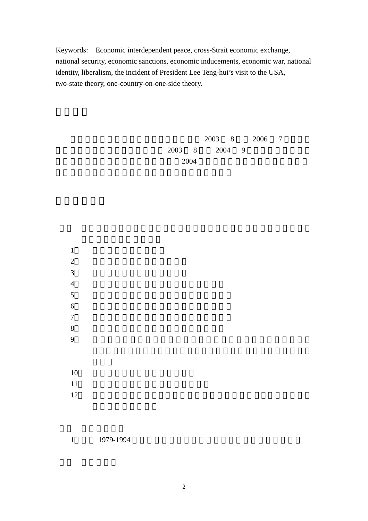Keywords: Economic interdependent peace, cross-Strait economic exchange, national security, economic sanctions, economic inducements, economic war, national identity, liberalism, the incident of President Lee Teng-hui's visit to the USA, two-state theory, one-country-on-one-side theory.

 $2003 \t 8 \t 2006 \t 7$  $2003 \quad 8 \quad 2004 \quad 9$  $2004$ 

 $1$  $2 \overline{a}$  $3 \leftrightarrow$  $4 \text{ }$  $5<sub>3</sub>$  $6 \overline{a}$  $7$  $8<sub>5</sub>$  $9$  $10$  $11$  $12$ 

1 1979-1994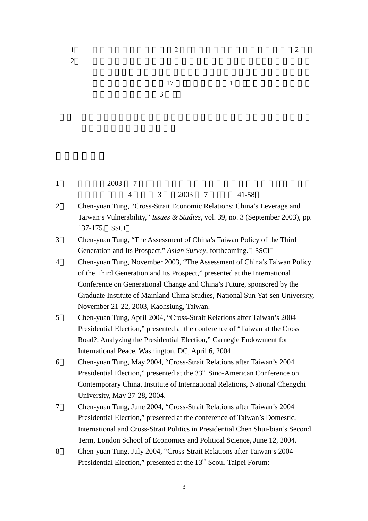|                | 17<br>$\mathbf{1}$                                                                                                         |
|----------------|----------------------------------------------------------------------------------------------------------------------------|
|                | 3                                                                                                                          |
|                |                                                                                                                            |
|                |                                                                                                                            |
|                |                                                                                                                            |
|                |                                                                                                                            |
|                |                                                                                                                            |
|                |                                                                                                                            |
| $\mathbf{1}$   | 2003<br>- 7                                                                                                                |
|                | 2003<br>3<br>$41 - 58$<br>4<br>7                                                                                           |
| $\overline{2}$ | Chen-yuan Tung, "Cross-Strait Economic Relations: China's Leverage and                                                     |
|                | Taiwan's Vulnerability," <i>Issues &amp; Studies</i> , vol. 39, no. 3 (September 2003), pp.                                |
|                | 137-175. SSCI                                                                                                              |
| 3              | Chen-yuan Tung, "The Assessment of China's Taiwan Policy of the Third                                                      |
|                | Generation and Its Prospect," Asian Survey, forthcoming. SSCI                                                              |
| 4              | Chen-yuan Tung, November 2003, "The Assessment of China's Taiwan Policy                                                    |
|                | of the Third Generation and Its Prospect," presented at the International                                                  |
|                | Conference on Generational Change and China's Future, sponsored by the                                                     |
|                | Graduate Institute of Mainland China Studies, National Sun Yat-sen University,                                             |
|                | November 21-22, 2003, Kaohsiung, Taiwan.                                                                                   |
| 5              | Chen-yuan Tung, April 2004, "Cross-Strait Relations after Taiwan's 2004                                                    |
|                | Presidential Election," presented at the conference of "Taiwan at the Cross"                                               |
|                | Road?: Analyzing the Presidential Election," Carnegie Endowment for<br>International Peace, Washington, DC, April 6, 2004. |
| 6              | Chen-yuan Tung, May 2004, "Cross-Strait Relations after Taiwan's 2004                                                      |
|                | Presidential Election," presented at the $33rd$ Sino-American Conference on                                                |
|                | Contemporary China, Institute of International Relations, National Chengchi                                                |
|                | University, May 27-28, 2004.                                                                                               |
| 7              | Chen-yuan Tung, June 2004, "Cross-Strait Relations after Taiwan's 2004                                                     |
|                | Presidential Election," presented at the conference of Taiwan's Domestic,                                                  |
|                | International and Cross-Strait Politics in Presidential Chen Shui-bian's Second                                            |
|                | Term, London School of Economics and Political Science, June 12, 2004.                                                     |
| 8              | Chen-yuan Tung, July 2004, "Cross-Strait Relations after Taiwan's 2004                                                     |
|                | Presidential Election," presented at the 13 <sup>th</sup> Seoul-Taipei Forum:                                              |

 $2$ 

1  $\qquad$   $\qquad$   $\qquad$   $\qquad$   $\qquad$   $\qquad$   $\qquad$   $\qquad$   $\qquad$   $\qquad$   $\qquad$   $\qquad$   $\qquad$   $\qquad$   $\qquad$   $\qquad$   $\qquad$   $\qquad$   $\qquad$   $\qquad$   $\qquad$   $\qquad$   $\qquad$   $\qquad$   $\qquad$   $\qquad$   $\qquad$   $\qquad$   $\qquad$   $\qquad$   $\qquad$   $\qquad$   $\qquad$   $\qquad$   $\qquad$   $\qquad$   $\q$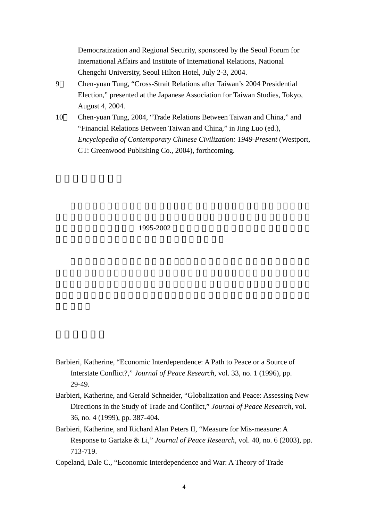Democratization and Regional Security, sponsored by the Seoul Forum for International Affairs and Institute of International Relations, National Chengchi University, Seoul Hilton Hotel, July 2-3, 2004.

- 9 Chen-yuan Tung, "Cross-Strait Relations after Taiwan's 2004 Presidential Election," presented at the Japanese Association for Taiwan Studies, Tokyo, August 4, 2004.
- 10 Chen-yuan Tung, 2004, "Trade Relations Between Taiwan and China," and "Financial Relations Between Taiwan and China," in Jing Luo (ed.), *Encyclopedia of Contemporary Chinese Civilization: 1949-Present* (Westport, CT: Greenwood Publishing Co., 2004), forthcoming.

1995-2002

- Barbieri, Katherine, "Economic Interdependence: A Path to Peace or a Source of Interstate Conflict?," *Journal of Peace Research*, vol. 33, no. 1 (1996), pp. 29-49.
- Barbieri, Katherine, and Gerald Schneider, "Globalization and Peace: Assessing New Directions in the Study of Trade and Conflict," *Journal of Peace Research*, vol. 36, no. 4 (1999), pp. 387-404.
- Barbieri, Katherine, and Richard Alan Peters II, "Measure for Mis-measure: A Response to Gartzke & Li," *Journal of Peace Research*, vol. 40, no. 6 (2003), pp. 713-719.
- Copeland, Dale C., "Economic Interdependence and War: A Theory of Trade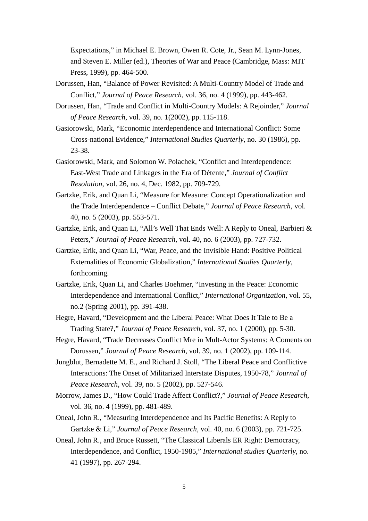Expectations," in Michael E. Brown, Owen R. Cote, Jr., Sean M. Lynn-Jones, and Steven E. Miller (ed.), Theories of War and Peace (Cambridge, Mass: MIT Press, 1999), pp. 464-500.

- Dorussen, Han, "Balance of Power Revisited: A Multi-Country Model of Trade and Conflict," *Journal of Peace Research*, vol. 36, no. 4 (1999), pp. 443-462.
- Dorussen, Han, "Trade and Conflict in Multi-Country Models: A Rejoinder," *Journal of Peace Research*, vol. 39, no. 1(2002), pp. 115-118.
- Gasiorowski, Mark, "Economic Interdependence and International Conflict: Some Cross-national Evidence," *International Studies Quarterly*, no. 30 (1986), pp. 23-38.
- Gasiorowski, Mark, and Solomon W. Polachek, "Conflict and Interdependence: East-West Trade and Linkages in the Era of Détente," *Journal of Conflict Resolution*, vol. 26, no. 4, Dec. 1982, pp. 709-729.
- Gartzke, Erik, and Quan Li, "Measure for Measure: Concept Operationalization and the Trade Interdependence – Conflict Debate," *Journal of Peace Research*, vol. 40, no. 5 (2003), pp. 553-571.
- Gartzke, Erik, and Quan Li, "All's Well That Ends Well: A Reply to Oneal, Barbieri & Peters," *Journal of Peace Research*, vol. 40, no. 6 (2003), pp. 727-732.
- Gartzke, Erik, and Quan Li, "War, Peace, and the Invisible Hand: Positive Political Externalities of Economic Globalization," *International Studies Quarterly*, forthcoming.
- Gartzke, Erik, Quan Li, and Charles Boehmer, "Investing in the Peace: Economic Interdependence and International Conflict," *International Organization*, vol. 55, no.2 (Spring 2001), pp. 391-438.
- Hegre, Havard, "Development and the Liberal Peace: What Does It Tale to Be a Trading State?," *Journal of Peace Research*, vol. 37, no. 1 (2000), pp. 5-30.
- Hegre, Havard, "Trade Decreases Conflict Mre in Mult-Actor Systems: A Coments on Dorussen," *Journal of Peace Research*, vol. 39, no. 1 (2002), pp. 109-114.
- Jungblut, Bernadette M. E., and Richard J. Stoll, "The Liberal Peace and Conflictive Interactions: The Onset of Militarized Interstate Disputes, 1950-78," *Journal of Peace Research*, vol. 39, no. 5 (2002), pp. 527-546.
- Morrow, James D., "How Could Trade Affect Conflict?," *Journal of Peace Research*, vol. 36, no. 4 (1999), pp. 481-489.
- Oneal, John R., "Measuring Interdependence and Its Pacific Benefits: A Reply to Gartzke & Li," *Journal of Peace Research*, vol. 40, no. 6 (2003), pp. 721-725.
- Oneal, John R., and Bruce Russett, "The Classical Liberals ER Right: Democracy, Interdependence, and Conflict, 1950-1985," *International studies Quarterly*, no. 41 (1997), pp. 267-294.